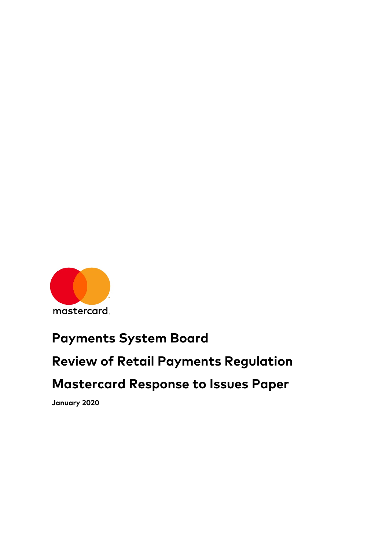

# **Payments System Board**

# **Review of Retail Payments Regulation**

# **Mastercard Response to Issues Paper**

**January 2020**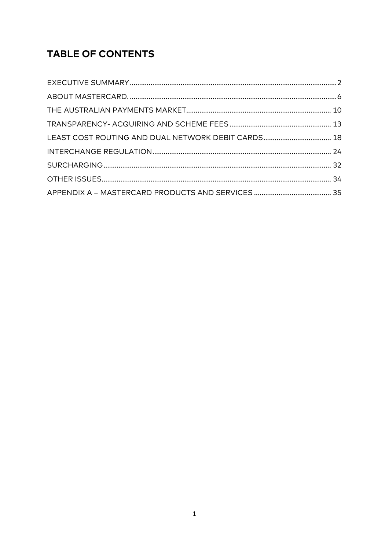# **TABLE OF CONTENTS**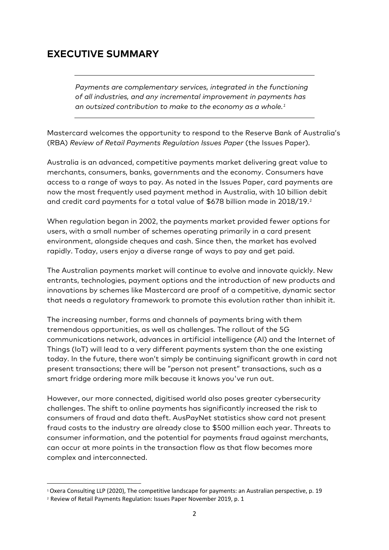### **EXECUTIVE SUMMARY**

*Payments are complementary services, integrated in the functioning of all industries, and any incremental improvement in payments has an outsized contribution to make to the economy as a whole. [1](#page-2-0)*

Mastercard welcomes the opportunity to respond to the Reserve Bank of Australia's (RBA) *Review of Retail Payments Regulation Issues Paper* (the Issues Paper)*.*

Australia is an advanced, competitive payments market delivering great value to merchants, consumers, banks, governments and the economy. Consumers have access to a range of ways to pay. As noted in the Issues Paper, card payments are now the most frequently used payment method in Australia, with 10 billion debit and credit card payments for a total value of \$678 billion made in 2018/19. [2](#page-2-1)

When regulation began in 2002, the payments market provided fewer options for users, with a small number of schemes operating primarily in a card present environment, alongside cheques and cash. Since then, the market has evolved rapidly. Today, users enjoy a diverse range of ways to pay and get paid.

The Australian payments market will continue to evolve and innovate quickly. New entrants, technologies, payment options and the introduction of new products and innovations by schemes like Mastercard are proof of a competitive, dynamic sector that needs a regulatory framework to promote this evolution rather than inhibit it.

The increasing number, forms and channels of payments bring with them tremendous opportunities, as well as challenges. The rollout of the 5G communications network, advances in artificial intelligence (AI) and the Internet of Things (IoT) will lead to a very different payments system than the one existing today. In the future, there won't simply be continuing significant growth in card not present transactions; there will be "person not present" transactions, such as a smart fridge ordering more milk because it knows you've run out.

However, our more connected, digitised world also poses greater cybersecurity challenges. The shift to online payments has significantly increased the risk to consumers of fraud and data theft. AusPayNet statistics show card not present fraud costs to the industry are already close to \$500 million each year. Threats to consumer information, and the potential for payments fraud against merchants, can occur at more points in the transaction flow as that flow becomes more complex and interconnected.

<span id="page-2-0"></span> <sup>1</sup> Oxera Consulting LLP (2020), The competitive landscape for payments: an Australian perspective, p. 19

<span id="page-2-1"></span><sup>2</sup> Review of Retail Payments Regulation: Issues Paper November 2019, p. 1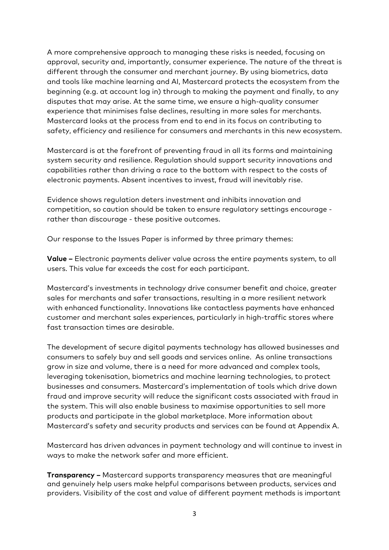A more comprehensive approach to managing these risks is needed, focusing on approval, security and, importantly, consumer experience. The nature of the threat is different through the consumer and merchant journey. By using biometrics, data and tools like machine learning and AI, Mastercard protects the ecosystem from the beginning (e.g. at account log in) through to making the payment and finally, to any disputes that may arise. At the same time, we ensure a high-quality consumer experience that minimises false declines, resulting in more sales for merchants. Mastercard looks at the process from end to end in its focus on contributing to safety, efficiency and resilience for consumers and merchants in this new ecosystem.

Mastercard is at the forefront of preventing fraud in all its forms and maintaining system security and resilience. Regulation should support security innovations and capabilities rather than driving a race to the bottom with respect to the costs of electronic payments. Absent incentives to invest, fraud will inevitably rise.

Evidence shows regulation deters investment and inhibits innovation and competition, so caution should be taken to ensure regulatory settings encourage rather than discourage - these positive outcomes.

Our response to the Issues Paper is informed by three primary themes:

**Value –** Electronic payments deliver value across the entire payments system, to all users. This value far exceeds the cost for each participant.

Mastercard's investments in technology drive consumer benefit and choice, greater sales for merchants and safer transactions, resulting in a more resilient network with enhanced functionality. Innovations like contactless payments have enhanced customer and merchant sales experiences, particularly in high-traffic stores where fast transaction times are desirable.

The development of secure digital payments technology has allowed businesses and consumers to safely buy and sell goods and services online. As online transactions grow in size and volume, there is a need for more advanced and complex tools, leveraging tokenisation, biometrics and machine learning technologies, to protect businesses and consumers. Mastercard's implementation of tools which drive down fraud and improve security will reduce the significant costs associated with fraud in the system. This will also enable business to maximise opportunities to sell more products and participate in the global marketplace. More information about Mastercard's safety and security products and services can be found at Appendix A.

Mastercard has driven advances in payment technology and will continue to invest in ways to make the network safer and more efficient.

**Transparency –** Mastercard supports transparency measures that are meaningful and genuinely help users make helpful comparisons between products, services and providers. Visibility of the cost and value of different payment methods is important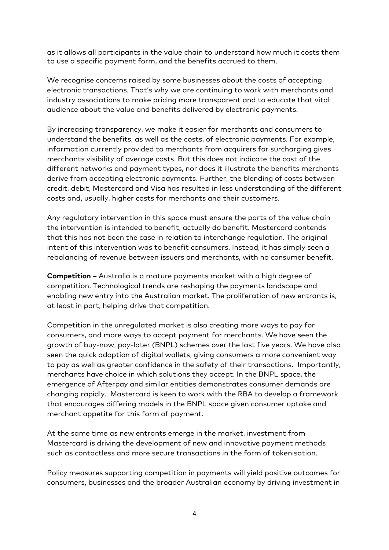as it allows all participants in the value chain to understand how much it costs them to use a specific payment form, and the benefits accrued to them.

We recognise concerns raised by some businesses about the costs of accepting electronic transactions. That's why we are continuing to work with merchants and industry associations to make pricing more transparent and to educate that vital audience about the value and benefits delivered by electronic payments.

By increasing transparency, we make it easier for merchants and consumers to understand the benefits, as well as the costs, of electronic payments. For example, information currently provided to merchants from acquirers for surcharging gives merchants visibility of average costs. But this does not indicate the cost of the different networks and payment types, nor does it illustrate the benefits merchants derive from accepting electronic payments. Further, the blending of costs between credit, debit, Mastercard and Visa has resulted in less understanding of the different costs and, usually, higher costs for merchants and their customers.

Any regulatory intervention in this space must ensure the parts of the value chain the intervention is intended to benefit, actually do benefit. Mastercard contends that this has not been the case in relation to interchange regulation. The original intent of this intervention was to benefit consumers. Instead, it has simply seen a rebalancing of revenue between issuers and merchants, with no consumer benefit.

**Competition –** Australia is a mature payments market with a high degree of competition. Technological trends are reshaping the payments landscape and enabling new entry into the Australian market. The proliferation of new entrants is, at least in part, helping drive that competition.

Competition in the unregulated market is also creating more ways to pay for consumers, and more ways to accept payment for merchants. We have seen the growth of buy-now, pay-later (BNPL) schemes over the last five years. We have also seen the quick adoption of digital wallets, giving consumers a more convenient way to pay as well as greater confidence in the safety of their transactions. Importantly, merchants have choice in which solutions they accept. In the BNPL space, the emergence of Afterpay and similar entities demonstrates consumer demands are changing rapidly. Mastercard is keen to work with the RBA to develop a framework that encourages differing models in the BNPL space given consumer uptake and merchant appetite for this form of payment.

At the same time as new entrants emerge in the market, investment from Mastercard is driving the development of new and innovative payment methods such as contactless and more secure transactions in the form of tokenisation.

Policy measures supporting competition in payments will yield positive outcomes for consumers, businesses and the broader Australian economy by driving investment in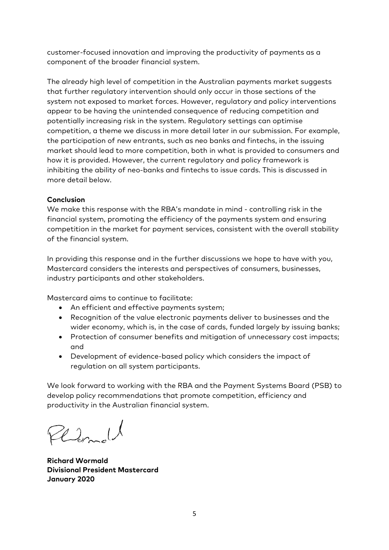customer-focused innovation and improving the productivity of payments as a component of the broader financial system.

The already high level of competition in the Australian payments market suggests that further regulatory intervention should only occur in those sections of the system not exposed to market forces. However, regulatory and policy interventions appear to be having the unintended consequence of reducing competition and potentially increasing risk in the system. Regulatory settings can optimise competition, a theme we discuss in more detail later in our submission. For example, the participation of new entrants, such as neo banks and fintechs, in the issuing market should lead to more competition, both in what is provided to consumers and how it is provided. However, the current regulatory and policy framework is inhibiting the ability of neo-banks and fintechs to issue cards. This is discussed in more detail below.

#### **Conclusion**

We make this response with the RBA's mandate in mind - controlling risk in the financial system, promoting the efficiency of the payments system and ensuring competition in the market for payment services, consistent with the overall stability of the financial system.

In providing this response and in the further discussions we hope to have with you, Mastercard considers the interests and perspectives of consumers, businesses, industry participants and other stakeholders.

Mastercard aims to continue to facilitate:

- An efficient and effective payments system;
- Recognition of the value electronic payments deliver to businesses and the wider economy, which is, in the case of cards, funded largely by issuing banks;
- Protection of consumer benefits and mitigation of unnecessary cost impacts; and
- Development of evidence-based policy which considers the impact of regulation on all system participants.

We look forward to working with the RBA and the Payment Systems Board (PSB) to develop policy recommendations that promote competition, efficiency and productivity in the Australian financial system.

Plemold

**Richard Wormald Divisional President Mastercard January 2020**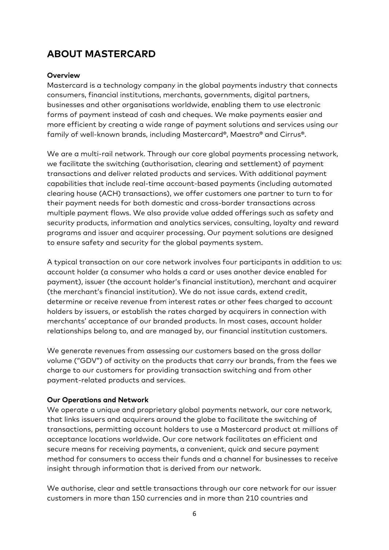# **ABOUT MASTERCARD**

#### **Overview**

Mastercard is a technology company in the global payments industry that connects consumers, financial institutions, merchants, governments, digital partners, businesses and other organisations worldwide, enabling them to use electronic forms of payment instead of cash and cheques. We make payments easier and more efficient by creating a wide range of payment solutions and services using our family of well-known brands, including Mastercard®, Maestro® and Cirrus®.

We are a multi-rail network. Through our core global payments processing network, we facilitate the switching (authorisation, clearing and settlement) of payment transactions and deliver related products and services. With additional payment capabilities that include real-time account-based payments (including automated clearing house (ACH) transactions), we offer customers one partner to turn to for their payment needs for both domestic and cross-border transactions across multiple payment flows. We also provide value added offerings such as safety and security products, information and analytics services, consulting, loyalty and reward programs and issuer and acquirer processing. Our payment solutions are designed to ensure safety and security for the global payments system.

A typical transaction on our core network involves four participants in addition to us: account holder (a consumer who holds a card or uses another device enabled for payment), issuer (the account holder's financial institution), merchant and acquirer (the merchant's financial institution). We do not issue cards, extend credit, determine or receive revenue from interest rates or other fees charged to account holders by issuers, or establish the rates charged by acquirers in connection with merchants' acceptance of our branded products. In most cases, account holder relationships belong to, and are managed by, our financial institution customers.

We generate revenues from assessing our customers based on the gross dollar volume ("GDV") of activity on the products that carry our brands, from the fees we charge to our customers for providing transaction switching and from other payment-related products and services.

#### **Our Operations and Network**

We operate a unique and proprietary global payments network, our core network, that links issuers and acquirers around the globe to facilitate the switching of transactions, permitting account holders to use a Mastercard product at millions of acceptance locations worldwide. Our core network facilitates an efficient and secure means for receiving payments, a convenient, quick and secure payment method for consumers to access their funds and a channel for businesses to receive insight through information that is derived from our network.

We authorise, clear and settle transactions through our core network for our issuer customers in more than 150 currencies and in more than 210 countries and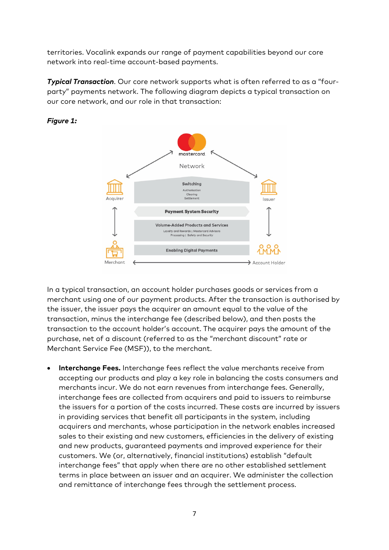territories. Vocalink expands our range of payment capabilities beyond our core network into real-time account-based payments.

*Typical Transaction*. Our core network supports what is often referred to as a "fourparty" payments network. The following diagram depicts a typical transaction on our core network, and our role in that transaction:



#### *Figure 1:*

In a typical transaction, an account holder purchases goods or services from a merchant using one of our payment products. After the transaction is authorised by the issuer, the issuer pays the acquirer an amount equal to the value of the transaction, minus the interchange fee (described below), and then posts the transaction to the account holder's account. The acquirer pays the amount of the purchase, net of a discount (referred to as the "merchant discount" rate or Merchant Service Fee (MSF)), to the merchant.

• **Interchange Fees.** Interchange fees reflect the value merchants receive from accepting our products and play a key role in balancing the costs consumers and merchants incur. We do not earn revenues from interchange fees. Generally, interchange fees are collected from acquirers and paid to issuers to reimburse the issuers for a portion of the costs incurred. These costs are incurred by issuers in providing services that benefit all participants in the system, including acquirers and merchants, whose participation in the network enables increased sales to their existing and new customers, efficiencies in the delivery of existing and new products, guaranteed payments and improved experience for their customers. We (or, alternatively, financial institutions) establish "default interchange fees" that apply when there are no other established settlement terms in place between an issuer and an acquirer. We administer the collection and remittance of interchange fees through the settlement process.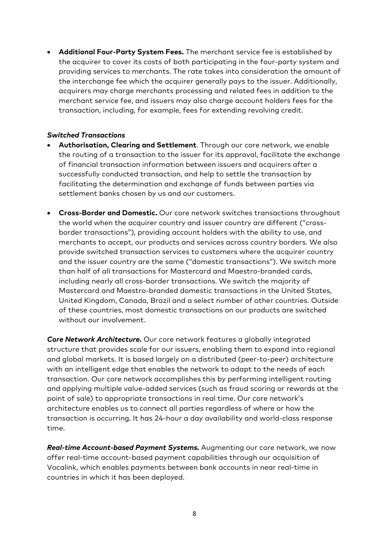• **Additional Four-Party System Fees.** The merchant service fee is established by the acquirer to cover its costs of both participating in the four-party system and providing services to merchants. The rate takes into consideration the amount of the interchange fee which the acquirer generally pays to the issuer. Additionally, acquirers may charge merchants processing and related fees in addition to the merchant service fee, and issuers may also charge account holders fees for the transaction, including, for example, fees for extending revolving credit.

#### *Switched Transactions*

- **Authorisation, Clearing and Settlement**. Through our core network, we enable the routing of a transaction to the issuer for its approval, facilitate the exchange of financial transaction information between issuers and acquirers after a successfully conducted transaction, and help to settle the transaction by facilitating the determination and exchange of funds between parties via settlement banks chosen by us and our customers.
- **Cross-Border and Domestic.** Our core network switches transactions throughout the world when the acquirer country and issuer country are different ("crossborder transactions"), providing account holders with the ability to use, and merchants to accept, our products and services across country borders. We also provide switched transaction services to customers where the acquirer country and the issuer country are the same ("domestic transactions"). We switch more than half of all transactions for Mastercard and Maestro-branded cards, including nearly all cross-border transactions. We switch the majority of Mastercard and Maestro-branded domestic transactions in the United States, United Kingdom, Canada, Brazil and a select number of other countries. Outside of these countries, most domestic transactions on our products are switched without our involvement.

*Core Network Architecture.* Our core network features a globally integrated structure that provides scale for our issuers, enabling them to expand into regional and global markets. It is based largely on a distributed (peer-to-peer) architecture with an intelligent edge that enables the network to adapt to the needs of each transaction. Our core network accomplishes this by performing intelligent routing and applying multiple value-added services (such as fraud scoring or rewards at the point of sale) to appropriate transactions in real time. Our core network's architecture enables us to connect all parties regardless of where or how the transaction is occurring. It has 24-hour a day availability and world-class response time.

*Real-time Account-based Payment Systems.* Augmenting our core network, we now offer real-time account-based payment capabilities through our acquisition of Vocalink, which enables payments between bank accounts in near real-time in countries in which it has been deployed.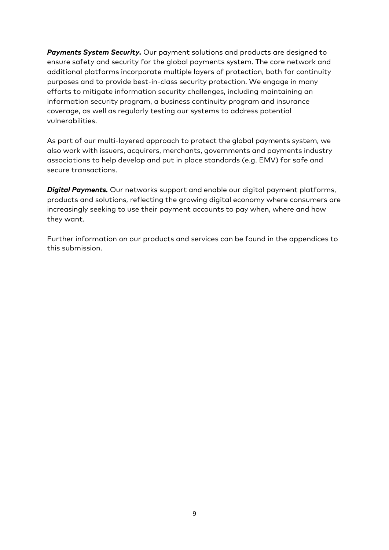*Payments System Security.* Our payment solutions and products are designed to ensure safety and security for the global payments system. The core network and additional platforms incorporate multiple layers of protection, both for continuity purposes and to provide best-in-class security protection. We engage in many efforts to mitigate information security challenges, including maintaining an information security program, a business continuity program and insurance coverage, as well as regularly testing our systems to address potential vulnerabilities.

As part of our multi-layered approach to protect the global payments system, we also work with issuers, acquirers, merchants, governments and payments industry associations to help develop and put in place standards (e.g. EMV) for safe and secure transactions.

*Digital Payments.* Our networks support and enable our digital payment platforms, products and solutions, reflecting the growing digital economy where consumers are increasingly seeking to use their payment accounts to pay when, where and how they want.

Further information on our products and services can be found in the appendices to this submission.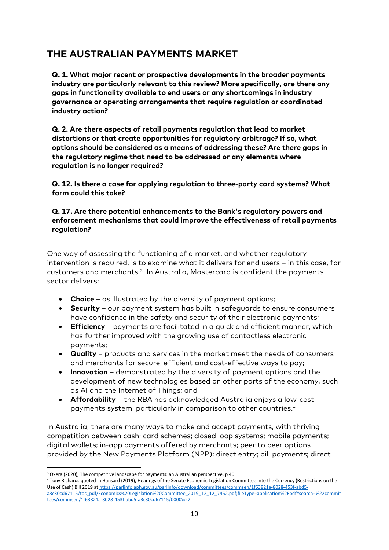# **THE AUSTRALIAN PAYMENTS MARKET**

**Q. 1. What major recent or prospective developments in the broader payments industry are particularly relevant to this review? More specifically, are there any gaps in functionality available to end users or any shortcomings in industry governance or operating arrangements that require regulation or coordinated industry action?**

**Q. 2. Are there aspects of retail payments regulation that lead to market distortions or that create opportunities for regulatory arbitrage? If so, what options should be considered as a means of addressing these? Are there gaps in the regulatory regime that need to be addressed or any elements where regulation is no longer required?**

**Q. 12. Is there a case for applying regulation to three-party card systems? What form could this take?**

**Q. 17. Are there potential enhancements to the Bank's regulatory powers and enforcement mechanisms that could improve the effectiveness of retail payments regulation?**

One way of assessing the functioning of a market, and whether regulatory intervention is required, is to examine what it delivers for end users – in this case, for customers and merchants.[3](#page-10-0) In Australia, Mastercard is confident the payments sector delivers:

- **Choice**  as illustrated by the diversity of payment options;
- **Security** our payment system has built in safeguards to ensure consumers have confidence in the safety and security of their electronic payments;
- **Efficiency**  payments are facilitated in a quick and efficient manner, which has further improved with the growing use of contactless electronic payments;
- **Quality** products and services in the market meet the needs of consumers and merchants for secure, efficient and cost-effective ways to pay;
- **Innovation** demonstrated by the diversity of payment options and the development of new technologies based on other parts of the economy, such as AI and the Internet of Things; and
- **Affordability** the RBA has acknowledged Australia enjoys a low-cost payments system, particularly in comparison to other countries.[4](#page-10-1)

In Australia, there are many ways to make and accept payments, with thriving competition between cash; card schemes; closed loop systems; mobile payments; digital wallets; in-app payments offered by merchants; peer to peer options provided by the New Payments Platform (NPP); direct entry; bill payments; direct

<span id="page-10-0"></span><sup>&</sup>lt;sup>3</sup> Oxera (2020), The competitive landscape for payments: an Australian perspective, p 40

<span id="page-10-1"></span><sup>&</sup>lt;sup>4</sup> Tony Richards quoted in Hansard (2019), Hearings of the Senate Economic Legislation Committee into the Currency (Restrictions on the Use of Cash) Bill 2019 a[t https://parlinfo.aph.gov.au/parlInfo/download/committees/commsen/1f63821a-8028-453f-abd5](https://parlinfo.aph.gov.au/parlInfo/download/committees/commsen/1f63821a-8028-453f-abd5-a3c30cd67115/toc_pdf/Economics%20Legislation%20Committee_2019_12_12_7452.pdf;fileType=application%2Fpdf#search=%22committees/commsen/1f63821a-8028-453f-abd5-a3c30cd67115/0000%22) [a3c30cd67115/toc\\_pdf/Economics%20Legislation%20Committee\\_2019\\_12\\_12\\_7452.pdf;fileType=application%2Fpdf#search=%22commit](https://parlinfo.aph.gov.au/parlInfo/download/committees/commsen/1f63821a-8028-453f-abd5-a3c30cd67115/toc_pdf/Economics%20Legislation%20Committee_2019_12_12_7452.pdf;fileType=application%2Fpdf#search=%22committees/commsen/1f63821a-8028-453f-abd5-a3c30cd67115/0000%22) [tees/commsen/1f63821a-8028-453f-abd5-a3c30cd67115/0000%22](https://parlinfo.aph.gov.au/parlInfo/download/committees/commsen/1f63821a-8028-453f-abd5-a3c30cd67115/toc_pdf/Economics%20Legislation%20Committee_2019_12_12_7452.pdf;fileType=application%2Fpdf#search=%22committees/commsen/1f63821a-8028-453f-abd5-a3c30cd67115/0000%22)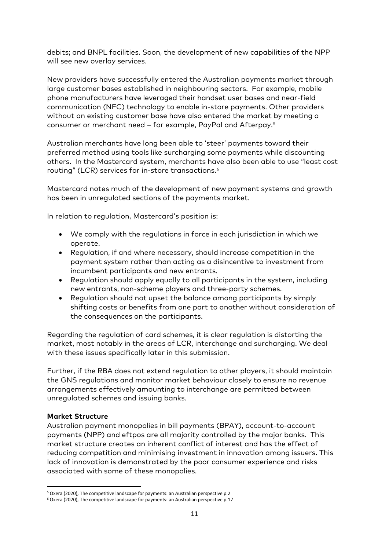debits; and BNPL facilities. Soon, the development of new capabilities of the NPP will see new overlay services.

New providers have successfully entered the Australian payments market through large customer bases established in neighbouring sectors. For example, mobile phone manufacturers have leveraged their handset user bases and near-field communication (NFC) technology to enable in-store payments. Other providers without an existing customer base have also entered the market by meeting a consumer or merchant need – for example, PayPal and Afterpay.[5](#page-11-0)

Australian merchants have long been able to 'steer' payments toward their preferred method using tools like surcharging some payments while discounting others. In the Mastercard system, merchants have also been able to use "least cost routing" (LCR) services for in-store transactions.<sup>[6](#page-11-1)</sup>

Mastercard notes much of the development of new payment systems and growth has been in unregulated sections of the payments market.

In relation to regulation, Mastercard's position is:

- We comply with the regulations in force in each jurisdiction in which we operate.
- Regulation, if and where necessary, should increase competition in the payment system rather than acting as a disincentive to investment from incumbent participants and new entrants.
- Regulation should apply equally to all participants in the system, including new entrants, non-scheme players and three-party schemes.
- Regulation should not upset the balance among participants by simply shifting costs or benefits from one part to another without consideration of the consequences on the participants.

Regarding the regulation of card schemes, it is clear regulation is distorting the market, most notably in the areas of LCR, interchange and surcharging. We deal with these issues specifically later in this submission.

Further, if the RBA does not extend regulation to other players, it should maintain the GNS regulations and monitor market behaviour closely to ensure no revenue arrangements effectively amounting to interchange are permitted between unregulated schemes and issuing banks.

#### **Market Structure**

Australian payment monopolies in bill payments (BPAY), account-to-account payments (NPP) and eftpos are all majority controlled by the major banks. This market structure creates an inherent conflict of interest and has the effect of reducing competition and minimising investment in innovation among issuers. This lack of innovation is demonstrated by the poor consumer experience and risks associated with some of these monopolies.

<span id="page-11-0"></span> <sup>5</sup> Oxera (2020), The competitive landscape for payments: an Australian perspective p.2

<span id="page-11-1"></span><sup>6</sup> Oxera (2020), The competitive landscape for payments: an Australian perspective p.17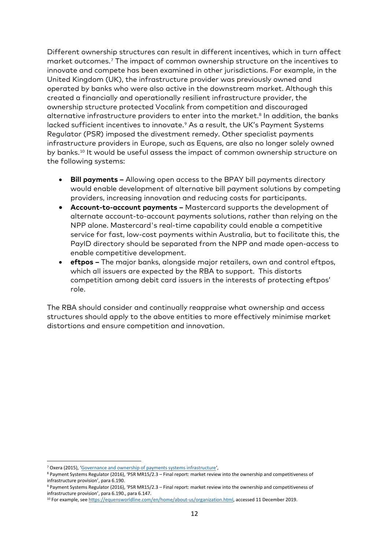Different ownership structures can result in different incentives, which in turn affect market outcomes.[7](#page-12-0) The impact of common ownership structure on the incentives to innovate and compete has been examined in other jurisdictions. For example, in the United Kingdom (UK), the infrastructure provider was previously owned and operated by banks who were also active in the downstream market. Although this created a financially and operationally resilient infrastructure provider, the ownership structure protected Vocalink from competition and discouraged alternative infrastructure providers to enter into the market.<sup>[8](#page-12-1)</sup> In addition, the banks lacked sufficient incentives to innovate.<sup>[9](#page-12-2)</sup> As a result, the UK's Payment Systems Regulator (PSR) imposed the divestment remedy. Other specialist payments infrastructure providers in Europe, such as Equens, are also no longer solely owned by banks.[10](#page-12-3) It would be useful assess the impact of common ownership structure on the following systems:

- **Bill payments –** Allowing open access to the BPAY bill payments directory would enable development of alternative bill payment solutions by competing providers, increasing innovation and reducing costs for participants.
- **Account-to-account payments –** Mastercard supports the development of alternate account-to-account payments solutions, rather than relying on the NPP alone. Mastercard's real-time capability could enable a competitive service for fast, low-cost payments within Australia, but to facilitate this, the PayID directory should be separated from the NPP and made open-access to enable competitive development.
- **eftpos –** The major banks, alongside major retailers, own and control eftpos, which all issuers are expected by the RBA to support. This distorts competition among debit card issuers in the interests of protecting eftpos' role.

The RBA should consider and continually reappraise what ownership and access structures should apply to the above entities to more effectively minimise market distortions and ensure competition and innovation.

<span id="page-12-1"></span><span id="page-12-0"></span><sup>&</sup>lt;sup>7</sup> Oxera (2015), '<u>Governance and ownership of payments systems infrastructure</u>',<br><sup>8</sup> Payment Systems Regulator (2016), 'PSR MR15/2.3 – Final report: market review into the ownership and competitiveness of infrastructure provision', para 6.190.

<span id="page-12-2"></span><sup>9</sup> Payment Systems Regulator (2016), 'PSR MR15/2.3 – Final report: market review into the ownership and competitiveness of infrastructure provision', para 6.190., para 6.147.

<span id="page-12-3"></span><sup>10</sup> For example, see [https://equensworldline.com/en/home/about-us/organization.html,](https://equensworldline.com/en/home/about-us/organization.html) accessed 11 December 2019.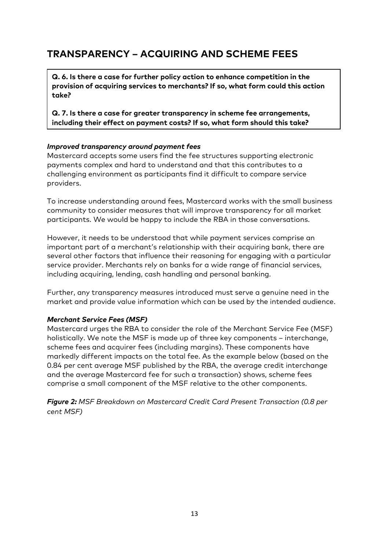# **TRANSPARENCY – ACQUIRING AND SCHEME FEES**

**Q. 6. Is there a case for further policy action to enhance competition in the provision of acquiring services to merchants? If so, what form could this action take?**

**Q. 7. Is there a case for greater transparency in scheme fee arrangements, including their effect on payment costs? If so, what form should this take?** 

#### *Improved transparency around payment fees*

Mastercard accepts some users find the fee structures supporting electronic payments complex and hard to understand and that this contributes to a challenging environment as participants find it difficult to compare service providers.

To increase understanding around fees, Mastercard works with the small business community to consider measures that will improve transparency for all market participants. We would be happy to include the RBA in those conversations.

However, it needs to be understood that while payment services comprise an important part of a merchant's relationship with their acquiring bank, there are several other factors that influence their reasoning for engaging with a particular service provider. Merchants rely on banks for a wide range of financial services, including acquiring, lending, cash handling and personal banking.

Further, any transparency measures introduced must serve a genuine need in the market and provide value information which can be used by the intended audience.

#### *Merchant Service Fees (MSF)*

Mastercard urges the RBA to consider the role of the Merchant Service Fee (MSF) holistically. We note the MSF is made up of three key components – interchange, scheme fees and acquirer fees (including margins). These components have markedly different impacts on the total fee. As the example below (based on the 0.84 per cent average MSF published by the RBA, the average credit interchange and the average Mastercard fee for such a transaction) shows, scheme fees comprise a small component of the MSF relative to the other components.

*Figure 2: MSF Breakdown on Mastercard Credit Card Present Transaction (0.8 per cent MSF)*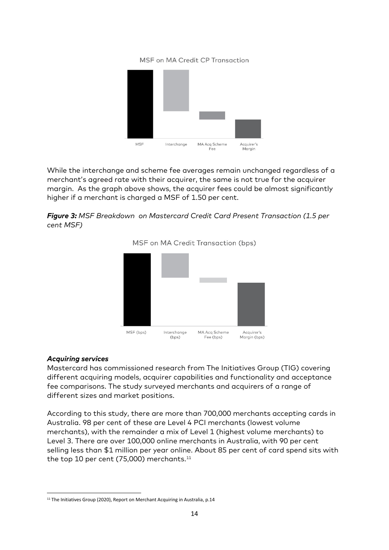#### MSF on MA Credit CP Transaction



While the interchange and scheme fee averages remain unchanged regardless of a merchant's agreed rate with their acquirer, the same is not true for the acquirer margin. As the graph above shows, the acquirer fees could be almost significantly higher if a merchant is charged a MSF of 1.50 per cent.

*Figure 3: MSF Breakdown on Mastercard Credit Card Present Transaction (1.5 per cent MSF)*



#### MSF on MA Credit Transaction (bps)

#### *Acquiring services*

Mastercard has commissioned research from The Initiatives Group (TIG) covering different acquiring models, acquirer capabilities and functionality and acceptance fee comparisons. The study surveyed merchants and acquirers of a range of different sizes and market positions.

According to this study, there are more than 700,000 merchants accepting cards in Australia. 98 per cent of these are Level 4 PCI merchants (lowest volume merchants), with the remainder a mix of Level 1 (highest volume merchants) to Level 3. There are over 100,000 online merchants in Australia, with 90 per cent selling less than \$1 million per year online. About 85 per cent of card spend sits with the top 10 per cent (75,000) merchants.<sup>11</sup>

<span id="page-14-0"></span><sup>&</sup>lt;sup>11</sup> The Initiatives Group (2020), Report on Merchant Acquiring in Australia, p.14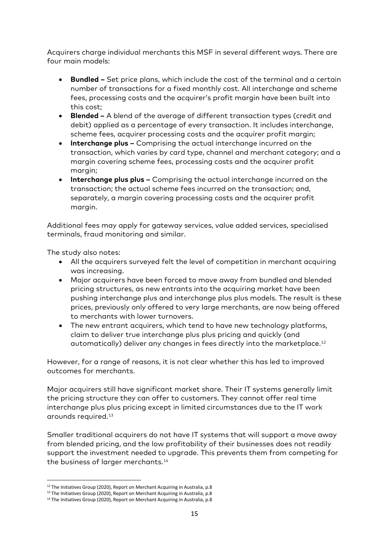Acquirers charge individual merchants this MSF in several different ways. There are four main models:

- **Bundled –** Set price plans, which include the cost of the terminal and a certain number of transactions for a fixed monthly cost. All interchange and scheme fees, processing costs and the acquirer's profit margin have been built into this cost;
- **Blended –** A blend of the average of different transaction types (credit and debit) applied as a percentage of every transaction. It includes interchange, scheme fees, acquirer processing costs and the acquirer profit margin;
- **Interchange plus –** Comprising the actual interchange incurred on the transaction, which varies by card type, channel and merchant category; and a margin covering scheme fees, processing costs and the acquirer profit margin;
- **Interchange plus plus –** Comprising the actual interchange incurred on the transaction; the actual scheme fees incurred on the transaction; and, separately, a margin covering processing costs and the acquirer profit margin.

Additional fees may apply for gateway services, value added services, specialised terminals, fraud monitoring and similar.

The study also notes:

- All the acquirers surveyed felt the level of competition in merchant acquiring was increasing.
- Major acquirers have been forced to move away from bundled and blended pricing structures, as new entrants into the acquiring market have been pushing interchange plus and interchange plus plus models. The result is these prices, previously only offered to very large merchants, are now being offered to merchants with lower turnovers.
- The new entrant acquirers, which tend to have new technology platforms, claim to deliver true interchange plus plus pricing and quickly (and automatically) deliver any changes in fees directly into the marketplace.<sup>[12](#page-15-0)</sup>

However, for a range of reasons, it is not clear whether this has led to improved outcomes for merchants.

Major acquirers still have significant market share. Their IT systems generally limit the pricing structure they can offer to customers. They cannot offer real time interchange plus plus pricing except in limited circumstances due to the IT work arounds required.[13](#page-15-1)

Smaller traditional acquirers do not have IT systems that will support a move away from blended pricing, and the low profitability of their businesses does not readily support the investment needed to upgrade. This prevents them from competing for the business of larger merchants.<sup>14</sup>

<span id="page-15-0"></span><sup>&</sup>lt;sup>12</sup> The Initiatives Group (2020), Report on Merchant Acquiring in Australia, p.8

<span id="page-15-1"></span><sup>&</sup>lt;sup>13</sup> The Initiatives Group (2020), Report on Merchant Acquiring in Australia, p.8

<span id="page-15-2"></span><sup>&</sup>lt;sup>14</sup> The Initiatives Group (2020), Report on Merchant Acquiring in Australia, p.8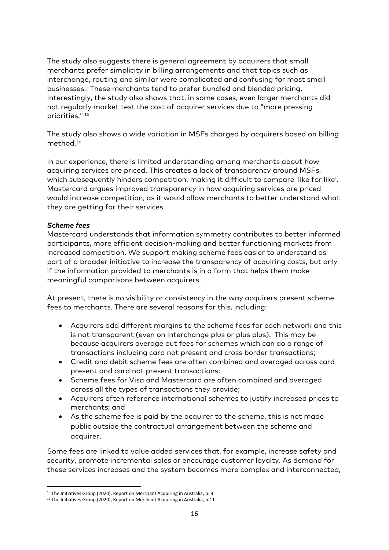The study also suggests there is general agreement by acquirers that small merchants prefer simplicity in billing arrangements and that topics such as interchange, routing and similar were complicated and confusing for most small businesses. These merchants tend to prefer bundled and blended pricing. Interestingly, the study also shows that, in some cases, even larger merchants did not regularly market test the cost of acquirer services due to "more pressing priorities." [15](#page-16-0)

The study also shows a wide variation in MSFs charged by acquirers based on billing method.[16](#page-16-1)

In our experience, there is limited understanding among merchants about how acquiring services are priced. This creates a lack of transparency around MSFs, which subsequently hinders competition, making it difficult to compare 'like for like'. Mastercard argues improved transparency in how acquiring services are priced would increase competition, as it would allow merchants to better understand what they are getting for their services.

#### *Scheme fees*

Mastercard understands that information symmetry contributes to better informed participants, more efficient decision-making and better functioning markets from increased competition. We support making scheme fees easier to understand as part of a broader initiative to increase the transparency of acquiring costs, but only if the information provided to merchants is in a form that helps them make meaningful comparisons between acquirers.

At present, there is no visibility or consistency in the way acquirers present scheme fees to merchants. There are several reasons for this, including:

- Acquirers add different margins to the scheme fees for each network and this is not transparent (even on interchange plus or plus plus). This may be because acquirers average out fees for schemes which can do a range of transactions including card not present and cross border transactions;
- Credit and debit scheme fees are often combined and averaged across card present and card not present transactions;
- Scheme fees for Visa and Mastercard are often combined and averaged across all the types of transactions they provide;
- Acquirers often reference international schemes to justify increased prices to merchants; and
- As the scheme fee is paid by the acquirer to the scheme, this is not made public outside the contractual arrangement between the scheme and acquirer.

Some fees are linked to value added services that, for example, increase safety and security, promote incremental sales or encourage customer loyalty. As demand for these services increases and the system becomes more complex and interconnected,

<span id="page-16-0"></span><sup>&</sup>lt;sup>15</sup> The Initiatives Group (2020), Report on Merchant Acquiring in Australia, p. 9

<span id="page-16-1"></span><sup>&</sup>lt;sup>16</sup> The Initiatives Group (2020), Report on Merchant Acquiring in Australia, p.11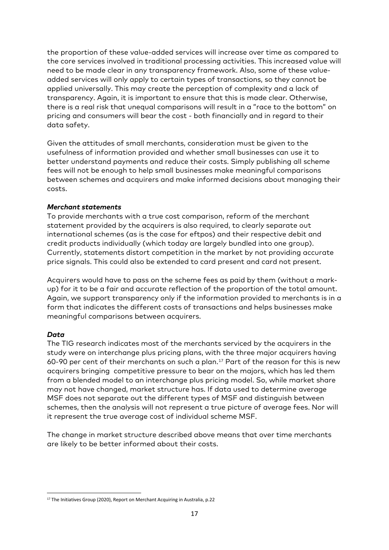the proportion of these value-added services will increase over time as compared to the core services involved in traditional processing activities. This increased value will need to be made clear in any transparency framework. Also, some of these valueadded services will only apply to certain types of transactions, so they cannot be applied universally. This may create the perception of complexity and a lack of transparency. Again, it is important to ensure that this is made clear. Otherwise, there is a real risk that unequal comparisons will result in a "race to the bottom" on pricing and consumers will bear the cost - both financially and in regard to their data safety.

Given the attitudes of small merchants, consideration must be given to the usefulness of information provided and whether small businesses can use it to better understand payments and reduce their costs. Simply publishing all scheme fees will not be enough to help small businesses make meaningful comparisons between schemes and acquirers and make informed decisions about managing their costs.

#### *Merchant statements*

To provide merchants with a true cost comparison, reform of the merchant statement provided by the acquirers is also required, to clearly separate out international schemes (as is the case for eftpos) and their respective debit and credit products individually (which today are largely bundled into one group). Currently, statements distort competition in the market by not providing accurate price signals. This could also be extended to card present and card not present.

Acquirers would have to pass on the scheme fees as paid by them (without a markup) for it to be a fair and accurate reflection of the proportion of the total amount. Again, we support transparency only if the information provided to merchants is in a form that indicates the different costs of transactions and helps businesses make meaningful comparisons between acquirers.

#### *Data*

The TIG research indicates most of the merchants serviced by the acquirers in the study were on interchange plus pricing plans, with the three major acquirers having 60-90 per cent of their merchants on such a plan.<sup>[17](#page-17-0)</sup> Part of the reason for this is new acquirers bringing competitive pressure to bear on the majors, which has led them from a blended model to an interchange plus pricing model. So, while market share may not have changed, market structure has. If data used to determine average MSF does not separate out the different types of MSF and distinguish between schemes, then the analysis will not represent a true picture of average fees. Nor will it represent the true average cost of individual scheme MSF.

The change in market structure described above means that over time merchants are likely to be better informed about their costs.

<span id="page-17-0"></span><sup>&</sup>lt;sup>17</sup> The Initiatives Group (2020), Report on Merchant Acquiring in Australia, p.22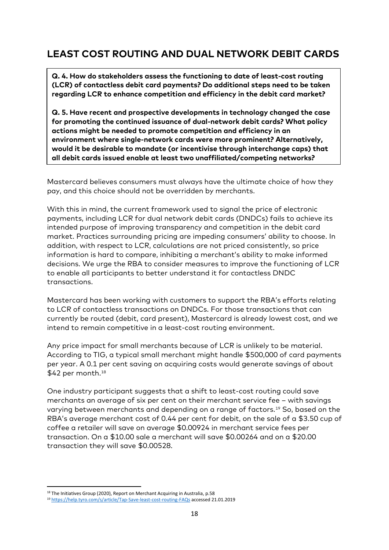# **LEAST COST ROUTING AND DUAL NETWORK DEBIT CARDS**

**Q. 4. How do stakeholders assess the functioning to date of least-cost routing (LCR) of contactless debit card payments? Do additional steps need to be taken regarding LCR to enhance competition and efficiency in the debit card market?**

**Q. 5. Have recent and prospective developments in technology changed the case for promoting the continued issuance of dual-network debit cards? What policy actions might be needed to promote competition and efficiency in an environment where single-network cards were more prominent? Alternatively, would it be desirable to mandate (or incentivise through interchange caps) that all debit cards issued enable at least two unaffiliated/competing networks?**

Mastercard believes consumers must always have the ultimate choice of how they pay, and this choice should not be overridden by merchants.

With this in mind, the current framework used to signal the price of electronic payments, including LCR for dual network debit cards (DNDCs) fails to achieve its intended purpose of improving transparency and competition in the debit card market. Practices surrounding pricing are impeding consumers' ability to choose. In addition, with respect to LCR, calculations are not priced consistently, so price information is hard to compare, inhibiting a merchant's ability to make informed decisions. We urge the RBA to consider measures to improve the functioning of LCR to enable all participants to better understand it for contactless DNDC transactions.

Mastercard has been working with customers to support the RBA's efforts relating to LCR of contactless transactions on DNDCs. For those transactions that can currently be routed (debit, card present), Mastercard is already lowest cost, and we intend to remain competitive in a least-cost routing environment.

Any price impact for small merchants because of LCR is unlikely to be material. According to TIG, a typical small merchant might handle \$500,000 of card payments per year. A 0.1 per cent saving on acquiring costs would generate savings of about \$42 per month.<sup>[18](#page-18-0)</sup>

One industry participant suggests that a shift to least-cost routing could save merchants an average of six per cent on their merchant service fee – with savings varying between merchants and depending on a range of factors. [19](#page-18-1) So, based on the RBA's average merchant cost of 0.44 per cent for debit, on the sale of a \$3.50 cup of coffee a retailer will save on average \$0.00924 in merchant service fees per transaction. On a \$10.00 sale a merchant will save \$0.00264 and on a \$20.00 transaction they will save \$0.00528.

<span id="page-18-0"></span><sup>&</sup>lt;sup>18</sup> The Initiatives Group (2020), Report on Merchant Acquiring in Australia, p.58

<span id="page-18-1"></span><sup>19</sup> <https://help.tyro.com/s/article/Tap-Save-least-cost-routing-FAQs> accessed 21.01.2019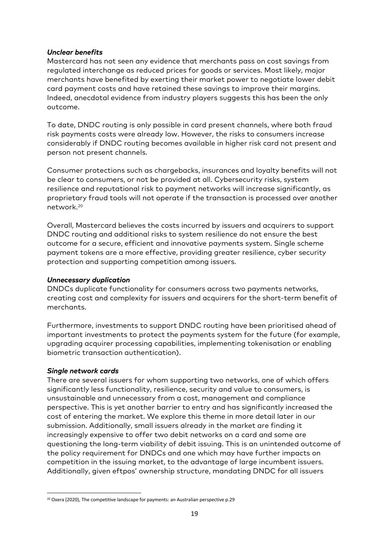#### *Unclear benefits*

Mastercard has not seen any evidence that merchants pass on cost savings from regulated interchange as reduced prices for goods or services. Most likely, major merchants have benefited by exerting their market power to negotiate lower debit card payment costs and have retained these savings to improve their margins. Indeed, anecdotal evidence from industry players suggests this has been the only outcome.

To date, DNDC routing is only possible in card present channels, where both fraud risk payments costs were already low. However, the risks to consumers increase considerably if DNDC routing becomes available in higher risk card not present and person not present channels.

Consumer protections such as chargebacks, insurances and loyalty benefits will not be clear to consumers, or not be provided at all. Cybersecurity risks, system resilience and reputational risk to payment networks will increase significantly, as proprietary fraud tools will not operate if the transaction is processed over another network.[20](#page-19-0)

Overall, Mastercard believes the costs incurred by issuers and acquirers to support DNDC routing and additional risks to system resilience do not ensure the best outcome for a secure, efficient and innovative payments system. Single scheme payment tokens are a more effective, providing greater resilience, cyber security protection and supporting competition among issuers.

#### *Unnecessary duplication*

DNDCs duplicate functionality for consumers across two payments networks, creating cost and complexity for issuers and acquirers for the short-term benefit of merchants.

Furthermore, investments to support DNDC routing have been prioritised ahead of important investments to protect the payments system for the future (for example, upgrading acquirer processing capabilities, implementing tokenisation or enabling biometric transaction authentication).

#### *Single network cards*

There are several issuers for whom supporting two networks, one of which offers significantly less functionality, resilience, security and value to consumers, is unsustainable and unnecessary from a cost, management and compliance perspective. This is yet another barrier to entry and has significantly increased the cost of entering the market. We explore this theme in more detail later in our submission. Additionally, small issuers already in the market are finding it increasingly expensive to offer two debit networks on a card and some are questioning the long-term viability of debit issuing. This is an unintended outcome of the policy requirement for DNDCs and one which may have further impacts on competition in the issuing market, to the advantage of large incumbent issuers. Additionally, given eftpos' ownership structure, mandating DNDC for all issuers

<span id="page-19-0"></span><sup>&</sup>lt;sup>20</sup> Oxera (2020), The competitive landscape for payments: an Australian perspective p.29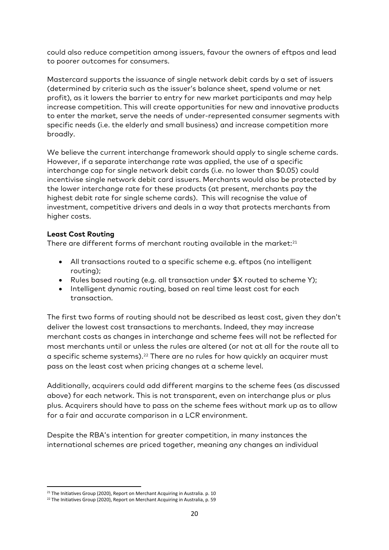could also reduce competition among issuers, favour the owners of eftpos and lead to poorer outcomes for consumers.

Mastercard supports the issuance of single network debit cards by a set of issuers (determined by criteria such as the issuer's balance sheet, spend volume or net profit), as it lowers the barrier to entry for new market participants and may help increase competition. This will create opportunities for new and innovative products to enter the market, serve the needs of under-represented consumer segments with specific needs (i.e. the elderly and small business) and increase competition more broadly.

We believe the current interchange framework should apply to single scheme cards. However, if a separate interchange rate was applied, the use of a specific interchange cap for single network debit cards (i.e. no lower than \$0.05) could incentivise single network debit card issuers. Merchants would also be protected by the lower interchange rate for these products (at present, merchants pay the highest debit rate for single scheme cards). This will recognise the value of investment, competitive drivers and deals in a way that protects merchants from higher costs.

#### **Least Cost Routing**

There are different forms of merchant routing available in the market:<sup>[21](#page-20-0)</sup>

- All transactions routed to a specific scheme e.g. eftpos (no intelligent routing);
- Rules based routing (e.g. all transaction under \$X routed to scheme Y);
- Intelligent dynamic routing, based on real time least cost for each transaction.

The first two forms of routing should not be described as least cost, given they don't deliver the lowest cost transactions to merchants. Indeed, they may increase merchant costs as changes in interchange and scheme fees will not be reflected for most merchants until or unless the rules are altered (or not at all for the route all to a specific scheme systems). [22](#page-20-1) There are no rules for how quickly an acquirer must pass on the least cost when pricing changes at a scheme level.

Additionally, acquirers could add different margins to the scheme fees (as discussed above) for each network. This is not transparent, even on interchange plus or plus plus. Acquirers should have to pass on the scheme fees without mark up as to allow for a fair and accurate comparison in a LCR environment.

Despite the RBA's intention for greater competition, in many instances the international schemes are priced together, meaning any changes an individual

<span id="page-20-0"></span> $21$  The Initiatives Group (2020), Report on Merchant Acquiring in Australia. p. 10

<span id="page-20-1"></span><sup>&</sup>lt;sup>22</sup> The Initiatives Group (2020), Report on Merchant Acquiring in Australia, p. 59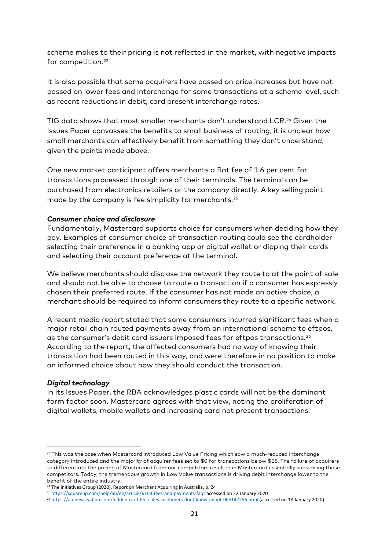scheme makes to their pricing is not reflected in the market, with negative impacts for competition. [23](#page-21-0)

It is also possible that some acquirers have passed on price increases but have not passed on lower fees and interchange for some transactions at a scheme level, such as recent reductions in debit, card present interchange rates.

TIG data shows that most smaller merchants don't understand LCR. [24](#page-21-1) Given the Issues Paper canvasses the benefits to small business of routing, it is unclear how small merchants can effectively benefit from something they don't understand, given the points made above.

One new market participant offers merchants a flat fee of 1.6 per cent for transactions processed through one of their terminals. The terminal can be purchased from electronics retailers or the company directly. A key selling point made by the company is fee simplicity for merchants.<sup>[25](#page-21-2)</sup>

#### *Consumer choice and disclosure*

Fundamentally, Mastercard supports choice for consumers when deciding how they pay. Examples of consumer choice of transaction routing could see the cardholder selecting their preference in a banking app or digital wallet or dipping their cards and selecting their account preference at the terminal.

We believe merchants should disclose the network they route to at the point of sale and should not be able to choose to route a transaction if a consumer has expressly chosen their preferred route. If the consumer has not made an active choice, a merchant should be required to inform consumers they route to a specific network.

A recent media report stated that some consumers incurred significant fees when a major retail chain routed payments away from an international scheme to eftpos, as the consumer's debit card issuers imposed fees for eftpos transactions.<sup>[26](#page-21-3)</sup> According to the report, the affected consumers had no way of knowing their transaction had been routed in this way, and were therefore in no position to make an informed choice about how they should conduct the transaction.

#### *Digital technology*

In its Issues Paper, the RBA acknowledges plastic cards will not be the dominant form factor soon. Mastercard agrees with that view, noting the proliferation of digital wallets, mobile wallets and increasing card not present transactions.

<span id="page-21-0"></span><sup>&</sup>lt;sup>23</sup> This was the case when Mastercard introduced Low Value Pricing which saw a much-reduced interchange category introduced and the majority of acquirer fees set to \$0 for transactions below \$15. The failure of acquirers to differentiate the pricing of Mastercard from our competitors resulted in Mastercard essentially subsidising those competitors. Today, the tremendous growth in Low Value transactions is driving debit interchange lower to the benefit of the entire industry.

<sup>&</sup>lt;sup>24</sup> The Initiatives Group (2020), Report on Merchant Acquiring in Australia, p. 24

<span id="page-21-2"></span><span id="page-21-1"></span><sup>25</sup> <https://squareup.com/help/au/en/article/6109-fees-and-payments-faqs> accessed on 22 January 2020

<span id="page-21-3"></span><sup>26</sup> <https://au.news.yahoo.com/hidden-card-fee-coles-customers-dont-know-about-065147256.html> (accessed on 18 January 2020)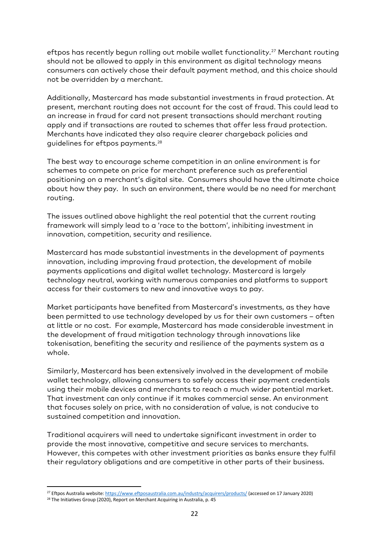eftpos has recently begun rolling out mobile wallet functionality. [27](#page-22-0) Merchant routing should not be allowed to apply in this environment as digital technology means consumers can actively chose their default payment method, and this choice should not be overridden by a merchant.

Additionally, Mastercard has made substantial investments in fraud protection. At present, merchant routing does not account for the cost of fraud. This could lead to an increase in fraud for card not present transactions should merchant routing apply and if transactions are routed to schemes that offer less fraud protection. Merchants have indicated they also require clearer chargeback policies and guidelines for eftpos payments.[28](#page-22-1)

The best way to encourage scheme competition in an online environment is for schemes to compete on price for merchant preference such as preferential positioning on a merchant's digital site. Consumers should have the ultimate choice about how they pay. In such an environment, there would be no need for merchant routing.

The issues outlined above highlight the real potential that the current routing framework will simply lead to a 'race to the bottom', inhibiting investment in innovation, competition, security and resilience.

Mastercard has made substantial investments in the development of payments innovation, including improving fraud protection, the development of mobile payments applications and digital wallet technology. Mastercard is largely technology neutral, working with numerous companies and platforms to support access for their customers to new and innovative ways to pay.

Market participants have benefited from Mastercard's investments, as they have been permitted to use technology developed by us for their own customers – often at little or no cost. For example, Mastercard has made considerable investment in the development of fraud mitigation technology through innovations like tokenisation, benefiting the security and resilience of the payments system as a whole.

Similarly, Mastercard has been extensively involved in the development of mobile wallet technology, allowing consumers to safely access their payment credentials using their mobile devices and merchants to reach a much wider potential market. That investment can only continue if it makes commercial sense. An environment that focuses solely on price, with no consideration of value, is not conducive to sustained competition and innovation.

Traditional acquirers will need to undertake significant investment in order to provide the most innovative, competitive and secure services to merchants. However, this competes with other investment priorities as banks ensure they fulfil their regulatory obligations and are competitive in other parts of their business.

<span id="page-22-0"></span> <sup>27</sup> Eftpos Australia website[: https://www.eftposaustralia.com.au/industry/acquirers/products/](https://www.eftposaustralia.com.au/industry/acquirers/products/) (accessed on 17 January 2020)

<span id="page-22-1"></span><sup>&</sup>lt;sup>28</sup> The Initiatives Group (2020), Report on Merchant Acquiring in Australia, p. 45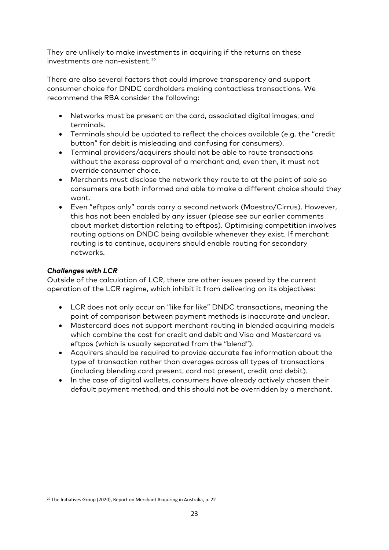They are unlikely to make investments in acquiring if the returns on these investments are non-existent. [29](#page-23-0)

There are also several factors that could improve transparency and support consumer choice for DNDC cardholders making contactless transactions. We recommend the RBA consider the following:

- Networks must be present on the card, associated digital images, and terminals.
- Terminals should be updated to reflect the choices available (e.g. the "credit button" for debit is misleading and confusing for consumers).
- Terminal providers/acquirers should not be able to route transactions without the express approval of a merchant and, even then, it must not override consumer choice.
- Merchants must disclose the network they route to at the point of sale so consumers are both informed and able to make a different choice should they want.
- Even "eftpos only" cards carry a second network (Maestro/Cirrus). However, this has not been enabled by any issuer (please see our earlier comments about market distortion relating to eftpos). Optimising competition involves routing options on DNDC being available whenever they exist. If merchant routing is to continue, acquirers should enable routing for secondary networks.

#### *Challenges with LCR*

Outside of the calculation of LCR, there are other issues posed by the current operation of the LCR regime, which inhibit it from delivering on its objectives:

- LCR does not only occur on "like for like" DNDC transactions, meaning the point of comparison between payment methods is inaccurate and unclear.
- Mastercard does not support merchant routing in blended acquiring models which combine the cost for credit and debit and Visa and Mastercard vs eftpos (which is usually separated from the "blend").
- Acquirers should be required to provide accurate fee information about the type of transaction rather than averages across all types of transactions (including blending card present, card not present, credit and debit).
- In the case of digital wallets, consumers have already actively chosen their default payment method, and this should not be overridden by a merchant.

<span id="page-23-0"></span><sup>&</sup>lt;sup>29</sup> The Initiatives Group (2020), Report on Merchant Acquiring in Australia, p. 22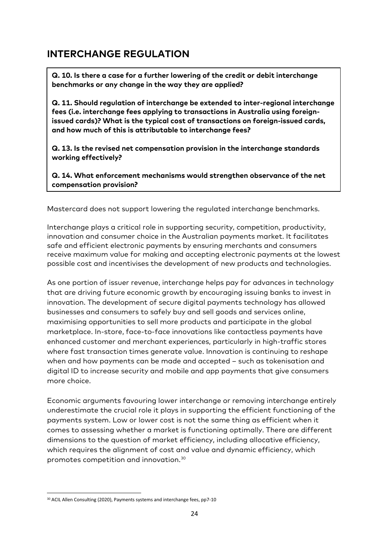## **INTERCHANGE REGULATION**

**Q. 10. Is there a case for a further lowering of the credit or debit interchange benchmarks or any change in the way they are applied?**

**Q. 11. Should regulation of interchange be extended to inter-regional interchange fees (i.e. interchange fees applying to transactions in Australia using foreignissued cards)? What is the typical cost of transactions on foreign-issued cards, and how much of this is attributable to interchange fees?**

**Q. 13. Is the revised net compensation provision in the interchange standards working effectively?**

**Q. 14. What enforcement mechanisms would strengthen observance of the net compensation provision?**

Mastercard does not support lowering the regulated interchange benchmarks.

Interchange plays a critical role in supporting security, competition, productivity, innovation and consumer choice in the Australian payments market. It facilitates safe and efficient electronic payments by ensuring merchants and consumers receive maximum value for making and accepting electronic payments at the lowest possible cost and incentivises the development of new products and technologies.

As one portion of issuer revenue, interchange helps pay for advances in technology that are driving future economic growth by encouraging issuing banks to invest in innovation. The development of secure digital payments technology has allowed businesses and consumers to safely buy and sell goods and services online, maximising opportunities to sell more products and participate in the global marketplace. In-store, face-to-face innovations like contactless payments have enhanced customer and merchant experiences, particularly in high-traffic stores where fast transaction times generate value. Innovation is continuing to reshape when and how payments can be made and accepted – such as tokenisation and digital ID to increase security and mobile and app payments that give consumers more choice.

Economic arguments favouring lower interchange or removing interchange entirely underestimate the crucial role it plays in supporting the efficient functioning of the payments system. Low or lower cost is not the same thing as efficient when it comes to assessing whether a market is functioning optimally. There are different dimensions to the question of market efficiency, including allocative efficiency, which requires the alignment of cost and value and dynamic efficiency, which promotes competition and innovation.[30](#page-24-0)

<span id="page-24-0"></span><sup>&</sup>lt;sup>30</sup> ACIL Allen Consulting (2020), Payments systems and interchange fees, pp7-10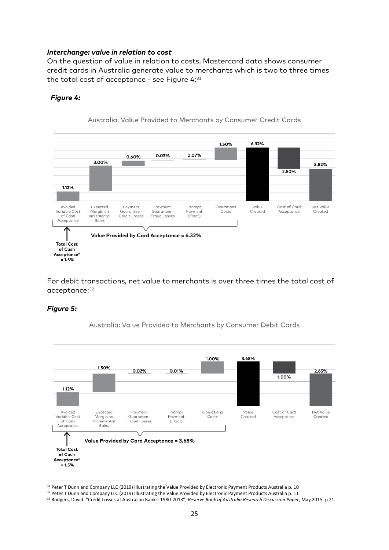#### *Interchange: value in relation to cost*

On the question of value in relation to costs, Mastercard data shows consumer credit cards in Australia generate value to merchants which is two to three times the total cost of acceptance - see Figure 4:[31](#page-25-0)

#### *Figure 4:*



For debit transactions, net value to merchants is over three times the total cost of acceptance: [32](#page-25-1)

#### *Figure 5:*

Australia: Value Provided to Merchants by Consumer Debit Cards



<span id="page-25-0"></span><sup>31</sup> Peter T Dunn and Company LLC (2019) Illustrating the Value Provided by Electronic Payment Products Australia p. 10

<span id="page-25-1"></span><sup>32</sup> Peter T Dunn and Company LLC (2019) Illustrating the Value Provided by Electronic Payment Products Australia p. 11

<sup>33</sup> Rodgers, David: "Credit Losses at Australian Banks: 1980-2013"; *Reserve Bank of Australia Research Discussion Paper*, May 2015. p 21.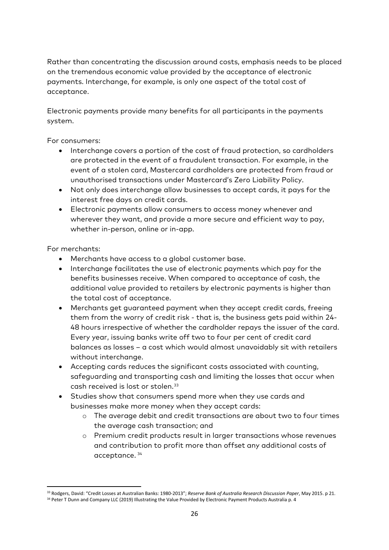Rather than concentrating the discussion around costs, emphasis needs to be placed on the tremendous economic value provided by the acceptance of electronic payments. Interchange, for example, is only one aspect of the total cost of acceptance.

Electronic payments provide many benefits for all participants in the payments system.

For consumers:

- Interchange covers a portion of the cost of fraud protection, so cardholders are protected in the event of a fraudulent transaction. For example, in the event of a stolen card, Mastercard cardholders are protected from fraud or unauthorised transactions under Mastercard's Zero Liability Policy.
- Not only does interchange allow businesses to accept cards, it pays for the interest free days on credit cards.
- Electronic payments allow consumers to access money whenever and wherever they want, and provide a more secure and efficient way to pay, whether in-person, online or in-app.

For merchants:

- Merchants have access to a global customer base.
- Interchange facilitates the use of electronic payments which pay for the benefits businesses receive. When compared to acceptance of cash, the additional value provided to retailers by electronic payments is higher than the total cost of acceptance.
- Merchants get guaranteed payment when they accept credit cards, freeing them from the worry of credit risk - that is, the business gets paid within 24- 48 hours irrespective of whether the cardholder repays the issuer of the card. Every year, issuing banks write off two to four per cent of credit card balances as losses – a cost which would almost unavoidably sit with retailers without interchange.
- Accepting cards reduces the significant costs associated with counting, safeguarding and transporting cash and limiting the losses that occur when cash received is lost or stolen.[33](#page-26-0)
- Studies show that consumers spend more when they use cards and businesses make more money when they accept cards:
	- o The average debit and credit transactions are about two to four times the average cash transaction; and
	- o Premium credit products result in larger transactions whose revenues and contribution to profit more than offset any additional costs of acceptance. [34](#page-26-0)

<span id="page-26-0"></span> <sup>33</sup> Rodgers, David: "Credit Losses at Australian Banks: 1980-2013"; *Reserve Bank of Australia Research Discussion Paper*, May 2015. p 21. 34 Peter T Dunn and Company LLC (2019) Illustrating the Value Provided by Electronic Payment Products Australia p. 4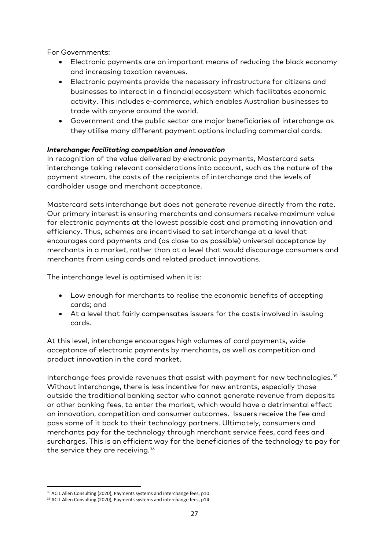For Governments:

- Electronic payments are an important means of reducing the black economy and increasing taxation revenues.
- Electronic payments provide the necessary infrastructure for citizens and businesses to interact in a financial ecosystem which facilitates economic activity. This includes e-commerce, which enables Australian businesses to trade with anyone around the world.
- Government and the public sector are major beneficiaries of interchange as they utilise many different payment options including commercial cards.

#### *Interchange: facilitating competition and innovation*

In recognition of the value delivered by electronic payments, Mastercard sets interchange taking relevant considerations into account, such as the nature of the payment stream, the costs of the recipients of interchange and the levels of cardholder usage and merchant acceptance.

Mastercard sets interchange but does not generate revenue directly from the rate. Our primary interest is ensuring merchants and consumers receive maximum value for electronic payments at the lowest possible cost and promoting innovation and efficiency. Thus, schemes are incentivised to set interchange at a level that encourages card payments and (as close to as possible) universal acceptance by merchants in a market, rather than at a level that would discourage consumers and merchants from using cards and related product innovations.

The interchange level is optimised when it is:

- Low enough for merchants to realise the economic benefits of accepting cards; and
- At a level that fairly compensates issuers for the costs involved in issuing cards.

At this level, interchange encourages high volumes of card payments, wide acceptance of electronic payments by merchants, as well as competition and product innovation in the card market.

Interchange fees provide revenues that assist with payment for new technologies[.35](#page-27-0) Without interchange, there is less incentive for new entrants, especially those outside the traditional banking sector who cannot generate revenue from deposits or other banking fees, to enter the market, which would have a detrimental effect on innovation, competition and consumer outcomes. Issuers receive the fee and pass some of it back to their technology partners. Ultimately, consumers and merchants pay for the technology through merchant service fees, card fees and surcharges. This is an efficient way for the beneficiaries of the technology to pay for the service they are receiving.<sup>[36](#page-27-1)</sup>

<span id="page-27-0"></span><sup>&</sup>lt;sup>35</sup> ACIL Allen Consulting (2020), Payments systems and interchange fees, p10

<span id="page-27-1"></span><sup>&</sup>lt;sup>36</sup> ACIL Allen Consulting (2020), Payments systems and interchange fees, p14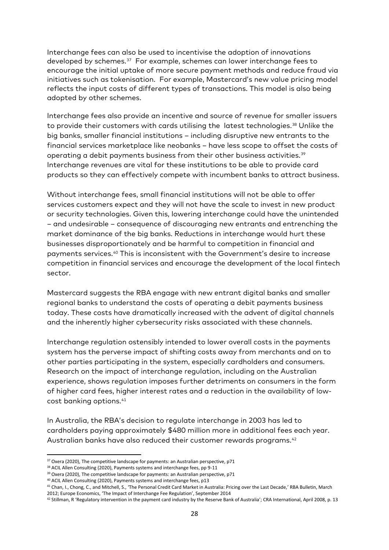Interchange fees can also be used to incentivise the adoption of innovations developed by schemes.[37](#page-28-0) For example, schemes can lower interchange fees to encourage the initial uptake of more secure payment methods and reduce fraud via initiatives such as tokenisation. For example, Mastercard's new value pricing model reflects the input costs of different types of transactions. This model is also being adopted by other schemes.

Interchange fees also provide an incentive and source of revenue for smaller issuers to provide their customers with cards utilising the latest technologies.<sup>[38](#page-28-1)</sup> Unlike the big banks, smaller financial institutions – including disruptive new entrants to the financial services marketplace like neobanks – have less scope to offset the costs of operating a debit payments business from their other business activities. [39](#page-28-2) Interchange revenues are vital for these institutions to be able to provide card products so they can effectively compete with incumbent banks to attract business.

Without interchange fees, small financial institutions will not be able to offer services customers expect and they will not have the scale to invest in new product or security technologies. Given this, lowering interchange could have the unintended – and undesirable – consequence of discouraging new entrants and entrenching the market dominance of the big banks. Reductions in interchange would hurt these businesses disproportionately and be harmful to competition in financial and payments services[.40](#page-28-3) This is inconsistent with the Government's desire to increase competition in financial services and encourage the development of the local fintech sector.

Mastercard suggests the RBA engage with new entrant digital banks and smaller regional banks to understand the costs of operating a debit payments business today. These costs have dramatically increased with the advent of digital channels and the inherently higher cybersecurity risks associated with these channels.

Interchange regulation ostensibly intended to lower overall costs in the payments system has the perverse impact of shifting costs away from merchants and on to other parties participating in the system, especially cardholders and consumers. Research on the impact of interchange regulation, including on the Australian experience, shows regulation imposes further detriments on consumers in the form of higher card fees, higher interest rates and a reduction in the availability of lowcost banking options.[41](#page-28-4)

In Australia, the RBA's decision to regulate interchange in 2003 has led to cardholders paying approximately \$480 million more in additional fees each year. Australian banks have also reduced their customer rewards programs.<sup>42</sup>

<span id="page-28-0"></span> $37$  Oxera (2020), The competitive landscape for payments: an Australian perspective, p71

<span id="page-28-1"></span><sup>&</sup>lt;sup>38</sup> ACIL Allen Consulting (2020), Payments systems and interchange fees, pp 9-11

<span id="page-28-3"></span><span id="page-28-2"></span><sup>&</sup>lt;sup>39</sup> Oxera (2020), The competitive landscape for payments: an Australian perspective, p71

<sup>&</sup>lt;sup>40</sup> ACIL Allen Consulting (2020), Payments systems and interchange fees, p13

<span id="page-28-4"></span><sup>41</sup> Chan, I., Chong, C., and Mitchell, S., 'The Personal Credit Card Market in Australia: Pricing over the Last Decade,' RBA Bulletin, March 2012; Europe Economics, 'The Impact of Interchange Fee Regulation', September 2014

<span id="page-28-5"></span><sup>42</sup> Stillman, R 'Regulatory intervention in the payment card industry by the Reserve Bank of Australia'; CRA International, April 2008, p. 13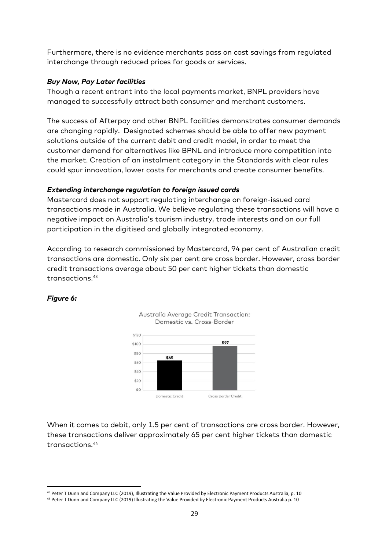Furthermore, there is no evidence merchants pass on cost savings from regulated interchange through reduced prices for goods or services.

#### *Buy Now, Pay Later facilities*

Though a recent entrant into the local payments market, BNPL providers have managed to successfully attract both consumer and merchant customers.

The success of Afterpay and other BNPL facilities demonstrates consumer demands are changing rapidly. Designated schemes should be able to offer new payment solutions outside of the current debit and credit model, in order to meet the customer demand for alternatives like BPNL and introduce more competition into the market. Creation of an instalment category in the Standards with clear rules could spur innovation, lower costs for merchants and create consumer benefits.

#### *Extending interchange regulation to foreign issued cards*

Mastercard does not support regulating interchange on foreign-issued card transactions made in Australia. We believe regulating these transactions will have a negative impact on Australia's tourism industry, trade interests and on our full participation in the digitised and globally integrated economy.

According to research commissioned by Mastercard, 94 per cent of Australian credit transactions are domestic. Only six per cent are cross border. However, cross border credit transactions average about 50 per cent higher tickets than domestic transactions.<sup>[43](#page-29-0)</sup>

#### *Figure 6:*





When it comes to debit, only 1.5 per cent of transactions are cross border. However, these transactions deliver approximately 65 per cent higher tickets than domestic transactions.[44](#page-29-1)

<span id="page-29-0"></span><sup>43</sup> Peter T Dunn and Company LLC (2019), Illustrating the Value Provided by Electronic Payment Products Australia, p. 10

<span id="page-29-1"></span><sup>44</sup> Peter T Dunn and Company LLC (2019) Illustrating the Value Provided by Electronic Payment Products Australia p. 10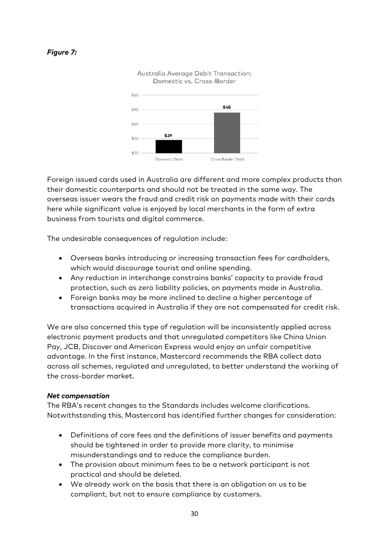#### *Figure 7:*



Foreign issued cards used in Australia are different and more complex products than their domestic counterparts and should not be treated in the same way. The overseas issuer wears the fraud and credit risk on payments made with their cards here while significant value is enjoyed by local merchants in the form of extra business from tourists and digital commerce.

The undesirable consequences of regulation include:

- Overseas banks introducing or increasing transaction fees for cardholders, which would discourage tourist and online spending.
- Any reduction in interchange constrains banks' capacity to provide fraud protection, such as zero liability policies, on payments made in Australia.
- Foreign banks may be more inclined to decline a higher percentage of transactions acquired in Australia if they are not compensated for credit risk.

We are also concerned this type of regulation will be inconsistently applied across electronic payment products and that unregulated competitors like China Union Pay, JCB, Discover and American Express would enjoy an unfair competitive advantage. In the first instance, Mastercard recommends the RBA collect data across all schemes, regulated and unregulated, to better understand the working of the cross-border market.

#### *Net compensation*

The RBA's recent changes to the Standards includes welcome clarifications. Notwithstanding this, Mastercard has identified further changes for consideration:

- Definitions of core fees and the definitions of issuer benefits and payments should be tightened in order to provide more clarity, to minimise misunderstandings and to reduce the compliance burden.
- The provision about minimum fees to be a network participant is not practical and should be deleted.
- We already work on the basis that there is an obligation on us to be compliant, but not to ensure compliance by customers.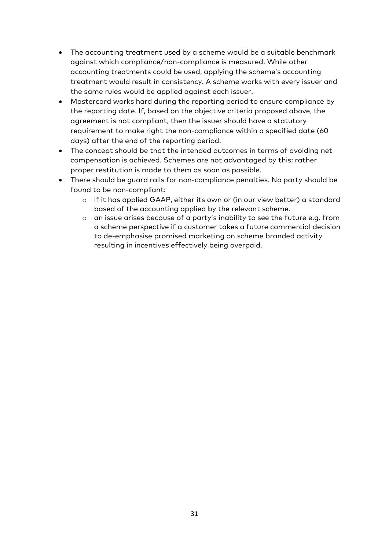- The accounting treatment used by a scheme would be a suitable benchmark against which compliance/non-compliance is measured. While other accounting treatments could be used, applying the scheme's accounting treatment would result in consistency. A scheme works with every issuer and the same rules would be applied against each issuer.
- Mastercard works hard during the reporting period to ensure compliance by the reporting date. If, based on the objective criteria proposed above, the agreement is not compliant, then the issuer should have a statutory requirement to make right the non-compliance within a specified date (60 days) after the end of the reporting period.
- The concept should be that the intended outcomes in terms of avoiding net compensation is achieved. Schemes are not advantaged by this; rather proper restitution is made to them as soon as possible.
- There should be guard rails for non-compliance penalties. No party should be found to be non-compliant:
	- o if it has applied GAAP, either its own or (in our view better) a standard based of the accounting applied by the relevant scheme.
	- o an issue arises because of a party's inability to see the future e.g. from a scheme perspective if a customer takes a future commercial decision to de-emphasise promised marketing on scheme branded activity resulting in incentives effectively being overpaid.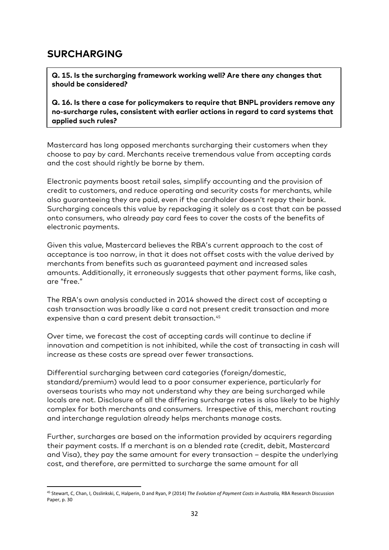### **SURCHARGING**

**Q. 15. Is the surcharging framework working well? Are there any changes that should be considered?**

**Q. 16. Is there a case for policymakers to require that BNPL providers remove any no-surcharge rules, consistent with earlier actions in regard to card systems that applied such rules?**

Mastercard has long opposed merchants surcharging their customers when they choose to pay by card. Merchants receive tremendous value from accepting cards and the cost should rightly be borne by them.

Electronic payments boost retail sales, simplify accounting and the provision of credit to customers, and reduce operating and security costs for merchants, while also guaranteeing they are paid, even if the cardholder doesn't repay their bank. Surcharging conceals this value by repackaging it solely as a cost that can be passed onto consumers, who already pay card fees to cover the costs of the benefits of electronic payments.

Given this value, Mastercard believes the RBA's current approach to the cost of acceptance is too narrow, in that it does not offset costs with the value derived by merchants from benefits such as guaranteed payment and increased sales amounts. Additionally, it erroneously suggests that other payment forms, like cash, are "free."

The RBA's own analysis conducted in 2014 showed the direct cost of accepting a cash transaction was broadly like a card not present credit transaction and more expensive than a card present debit transaction.<sup>45</sup>

Over time, we forecast the cost of accepting cards will continue to decline if innovation and competition is not inhibited, while the cost of transacting in cash will increase as these costs are spread over fewer transactions.

Differential surcharging between card categories (foreign/domestic, standard/premium) would lead to a poor consumer experience, particularly for overseas tourists who may not understand why they are being surcharged while locals are not. Disclosure of all the differing surcharge rates is also likely to be highly complex for both merchants and consumers. Irrespective of this, merchant routing and interchange regulation already helps merchants manage costs.

Further, surcharges are based on the information provided by acquirers regarding their payment costs. If a merchant is on a blended rate (credit, debit, Mastercard and Visa), they pay the same amount for every transaction – despite the underlying cost, and therefore, are permitted to surcharge the same amount for all

<span id="page-32-0"></span> <sup>45</sup> Stewart, C, Chan, I, Osslinkski, C, Halperin, D and Ryan, P (2014) *The Evolution of Payment Costs in Australia,* RBA Research Discussion Paper, p. 30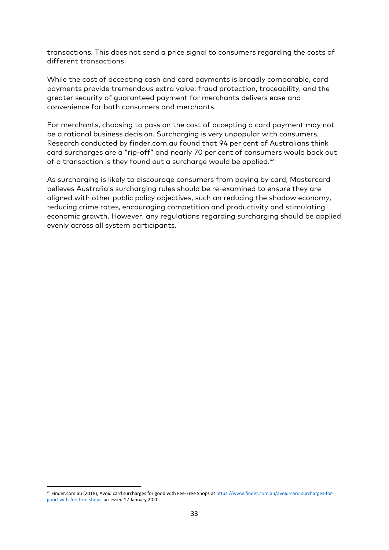transactions. This does not send a price signal to consumers regarding the costs of different transactions.

While the cost of accepting cash and card payments is broadly comparable, card payments provide tremendous extra value: fraud protection, traceability, and the greater security of guaranteed payment for merchants delivers ease and convenience for both consumers and merchants.

For merchants, choosing to pass on the cost of accepting a card payment may not be a rational business decision. Surcharging is very unpopular with consumers. Research conducted by finder.com.au found that 94 per cent of Australians think card surcharges are a "rip-off" and nearly 70 per cent of consumers would back out of a transaction is they found out a surcharge would be applied.<sup>[46](#page-33-0)</sup>

As surcharging is likely to discourage consumers from paying by card, Mastercard believes Australia's surcharging rules should be re-examined to ensure they are aligned with other public policy objectives, such an reducing the shadow economy, reducing crime rates, encouraging competition and productivity and stimulating economic growth. However, any regulations regarding surcharging should be applied evenly across all system participants.

<span id="page-33-0"></span><sup>46</sup> Finder.com.au (2018), Avoid card surcharges for good with Fee-Free Shops a[t https://www.finder.com.au/avoid-card-surcharges-for](https://www.finder.com.au/avoid-card-surcharges-for-good-with-fee-free-shops)[good-with-fee-free-shops](https://www.finder.com.au/avoid-card-surcharges-for-good-with-fee-free-shops) accessed 17 January 2020.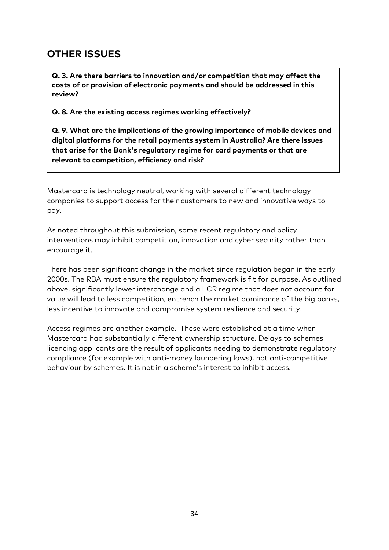# **OTHER ISSUES**

**Q. 3. Are there barriers to innovation and/or competition that may affect the costs of or provision of electronic payments and should be addressed in this review?**

**Q. 8. Are the existing access regimes working effectively?**

**Q. 9. What are the implications of the growing importance of mobile devices and digital platforms for the retail payments system in Australia? Are there issues that arise for the Bank's regulatory regime for card payments or that are relevant to competition, efficiency and risk?**

Mastercard is technology neutral, working with several different technology companies to support access for their customers to new and innovative ways to pay.

As noted throughout this submission, some recent regulatory and policy interventions may inhibit competition, innovation and cyber security rather than encourage it.

There has been significant change in the market since regulation began in the early 2000s. The RBA must ensure the regulatory framework is fit for purpose. As outlined above, significantly lower interchange and a LCR regime that does not account for value will lead to less competition, entrench the market dominance of the big banks, less incentive to innovate and compromise system resilience and security.

Access regimes are another example. These were established at a time when Mastercard had substantially different ownership structure. Delays to schemes licencing applicants are the result of applicants needing to demonstrate regulatory compliance (for example with anti-money laundering laws), not anti-competitive behaviour by schemes. It is not in a scheme's interest to inhibit access.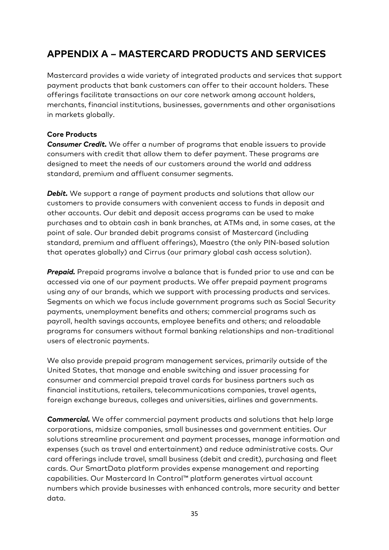# **APPENDIX A – MASTERCARD PRODUCTS AND SERVICES**

Mastercard provides a wide variety of integrated products and services that support payment products that bank customers can offer to their account holders. These offerings facilitate transactions on our core network among account holders, merchants, financial institutions, businesses, governments and other organisations in markets globally.

#### **Core Products**

*Consumer Credit.* We offer a number of programs that enable issuers to provide consumers with credit that allow them to defer payment. These programs are designed to meet the needs of our customers around the world and address standard, premium and affluent consumer segments.

**Debit.** We support a range of payment products and solutions that allow our customers to provide consumers with convenient access to funds in deposit and other accounts. Our debit and deposit access programs can be used to make purchases and to obtain cash in bank branches, at ATMs and, in some cases, at the point of sale. Our branded debit programs consist of Mastercard (including standard, premium and affluent offerings), Maestro (the only PIN-based solution that operates globally) and Cirrus (our primary global cash access solution).

**Prepaid.** Prepaid programs involve a balance that is funded prior to use and can be accessed via one of our payment products. We offer prepaid payment programs using any of our brands, which we support with processing products and services. Segments on which we focus include government programs such as Social Security payments, unemployment benefits and others; commercial programs such as payroll, health savings accounts, employee benefits and others; and reloadable programs for consumers without formal banking relationships and non-traditional users of electronic payments.

We also provide prepaid program management services, primarily outside of the United States, that manage and enable switching and issuer processing for consumer and commercial prepaid travel cards for business partners such as financial institutions, retailers, telecommunications companies, travel agents, foreign exchange bureaus, colleges and universities, airlines and governments.

*Commercial.* We offer commercial payment products and solutions that help large corporations, midsize companies, small businesses and government entities. Our solutions streamline procurement and payment processes, manage information and expenses (such as travel and entertainment) and reduce administrative costs. Our card offerings include travel, small business (debit and credit), purchasing and fleet cards. Our SmartData platform provides expense management and reporting capabilities. Our Mastercard In Control™ platform generates virtual account numbers which provide businesses with enhanced controls, more security and better data.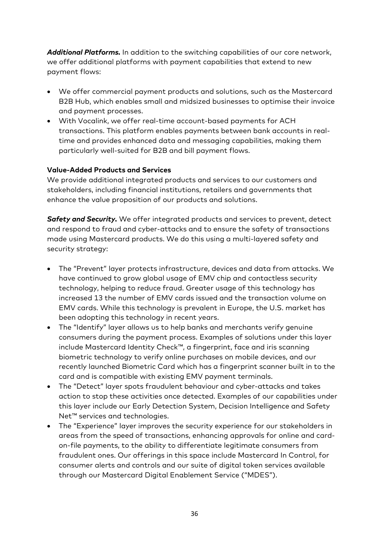*Additional Platforms.* In addition to the switching capabilities of our core network, we offer additional platforms with payment capabilities that extend to new payment flows:

- We offer commercial payment products and solutions, such as the Mastercard B2B Hub, which enables small and midsized businesses to optimise their invoice and payment processes.
- With Vocalink, we offer real-time account-based payments for ACH transactions. This platform enables payments between bank accounts in realtime and provides enhanced data and messaging capabilities, making them particularly well-suited for B2B and bill payment flows.

#### **Value-Added Products and Services**

We provide additional integrated products and services to our customers and stakeholders, including financial institutions, retailers and governments that enhance the value proposition of our products and solutions.

*Safety and Security.* We offer integrated products and services to prevent, detect and respond to fraud and cyber-attacks and to ensure the safety of transactions made using Mastercard products. We do this using a multi-layered safety and security strategy:

- The "Prevent" layer protects infrastructure, devices and data from attacks. We have continued to grow global usage of EMV chip and contactless security technology, helping to reduce fraud. Greater usage of this technology has increased 13 the number of EMV cards issued and the transaction volume on EMV cards. While this technology is prevalent in Europe, the U.S. market has been adopting this technology in recent years.
- The "Identify" layer allows us to help banks and merchants verify genuine consumers during the payment process. Examples of solutions under this layer include Mastercard Identity Check™, a fingerprint, face and iris scanning biometric technology to verify online purchases on mobile devices, and our recently launched Biometric Card which has a fingerprint scanner built in to the card and is compatible with existing EMV payment terminals.
- The "Detect" layer spots fraudulent behaviour and cyber-attacks and takes action to stop these activities once detected. Examples of our capabilities under this layer include our Early Detection System, Decision Intelligence and Safety Net™ services and technologies.
- The "Experience" layer improves the security experience for our stakeholders in areas from the speed of transactions, enhancing approvals for online and cardon-file payments, to the ability to differentiate legitimate consumers from fraudulent ones. Our offerings in this space include Mastercard In Control, for consumer alerts and controls and our suite of digital token services available through our Mastercard Digital Enablement Service ("MDES").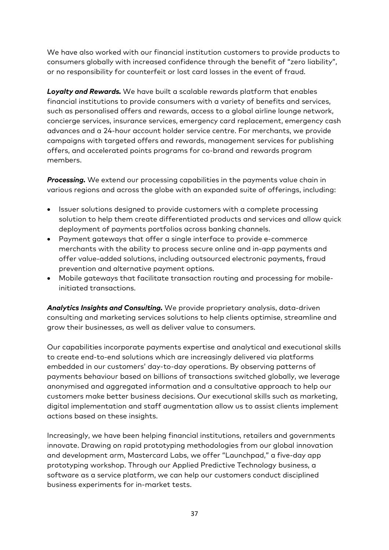We have also worked with our financial institution customers to provide products to consumers globally with increased confidence through the benefit of "zero liability", or no responsibility for counterfeit or lost card losses in the event of fraud.

*Loyalty and Rewards.* We have built a scalable rewards platform that enables financial institutions to provide consumers with a variety of benefits and services, such as personalised offers and rewards, access to a global airline lounge network, concierge services, insurance services, emergency card replacement, emergency cash advances and a 24-hour account holder service centre. For merchants, we provide campaigns with targeted offers and rewards, management services for publishing offers, and accelerated points programs for co-brand and rewards program members.

*Processing.* We extend our processing capabilities in the payments value chain in various regions and across the globe with an expanded suite of offerings, including:

- Issuer solutions designed to provide customers with a complete processing solution to help them create differentiated products and services and allow quick deployment of payments portfolios across banking channels.
- Payment gateways that offer a single interface to provide e-commerce merchants with the ability to process secure online and in-app payments and offer value-added solutions, including outsourced electronic payments, fraud prevention and alternative payment options.
- Mobile gateways that facilitate transaction routing and processing for mobileinitiated transactions.

*Analytics Insights and Consulting.* We provide proprietary analysis, data-driven consulting and marketing services solutions to help clients optimise, streamline and grow their businesses, as well as deliver value to consumers.

Our capabilities incorporate payments expertise and analytical and executional skills to create end-to-end solutions which are increasingly delivered via platforms embedded in our customers' day-to-day operations. By observing patterns of payments behaviour based on billions of transactions switched globally, we leverage anonymised and aggregated information and a consultative approach to help our customers make better business decisions. Our executional skills such as marketing, digital implementation and staff augmentation allow us to assist clients implement actions based on these insights.

Increasingly, we have been helping financial institutions, retailers and governments innovate. Drawing on rapid prototyping methodologies from our global innovation and development arm, Mastercard Labs, we offer "Launchpad," a five-day app prototyping workshop. Through our Applied Predictive Technology business, a software as a service platform, we can help our customers conduct disciplined business experiments for in-market tests.